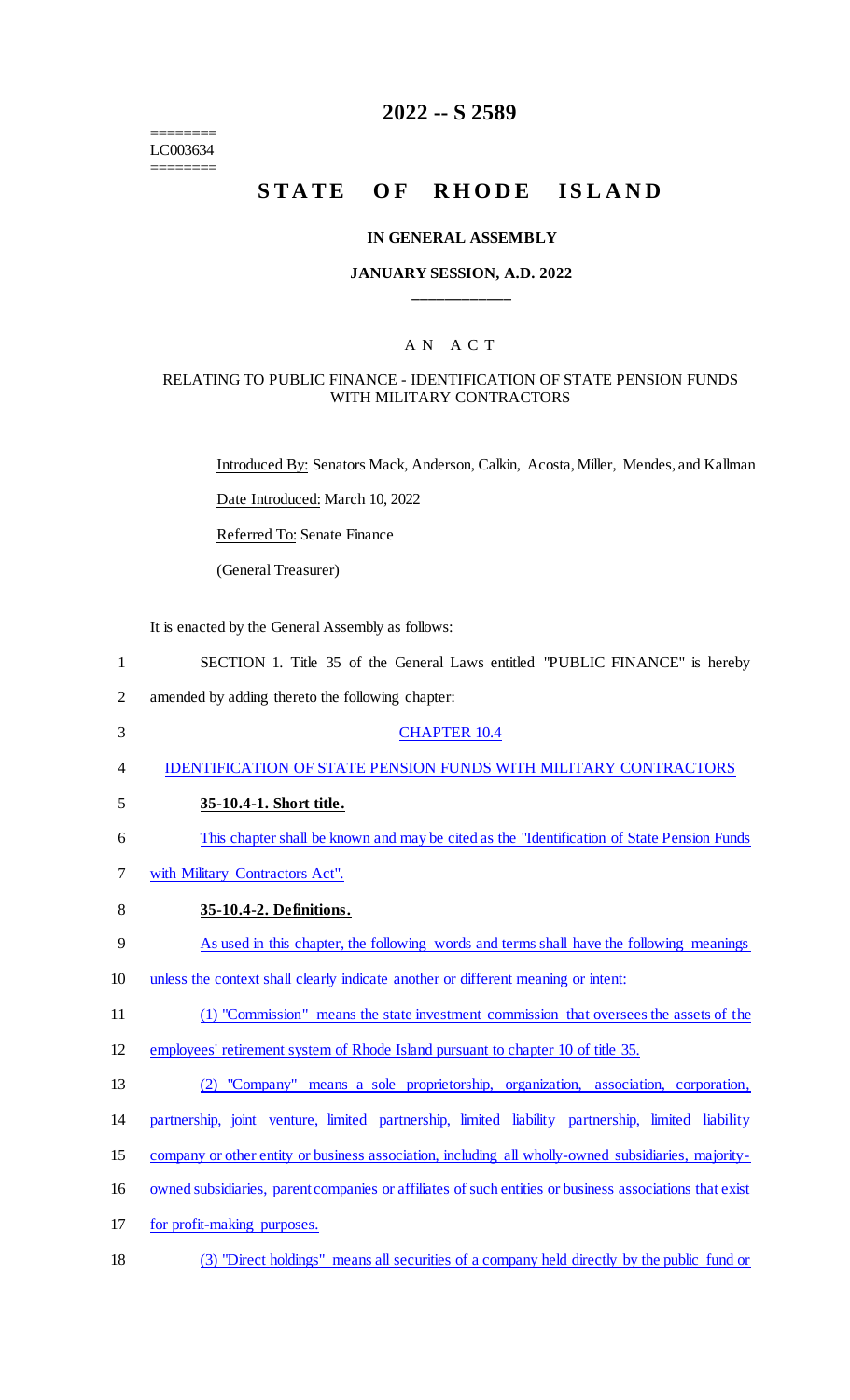======== LC003634 ========

# **2022 -- S 2589**

# **STATE OF RHODE ISLAND**

#### **IN GENERAL ASSEMBLY**

# **JANUARY SESSION, A.D. 2022 \_\_\_\_\_\_\_\_\_\_\_\_**

### A N A C T

#### RELATING TO PUBLIC FINANCE - IDENTIFICATION OF STATE PENSION FUNDS WITH MILITARY CONTRACTORS

Introduced By: Senators Mack, Anderson, Calkin, Acosta, Miller, Mendes, and Kallman

Date Introduced: March 10, 2022

Referred To: Senate Finance

(General Treasurer)

It is enacted by the General Assembly as follows:

| $\mathbf{1}$   | SECTION 1. Title 35 of the General Laws entitled "PUBLIC FINANCE" is hereby                             |
|----------------|---------------------------------------------------------------------------------------------------------|
| $\overline{2}$ | amended by adding thereto the following chapter:                                                        |
| 3              | <b>CHAPTER 10.4</b>                                                                                     |
| 4              | <b>IDENTIFICATION OF STATE PENSION FUNDS WITH MILITARY CONTRACTORS</b>                                  |
| 5              | 35-10.4-1. Short title.                                                                                 |
| 6              | This chapter shall be known and may be cited as the "Identification of State Pension Funds"             |
| 7              | with Military Contractors Act".                                                                         |
| 8              | 35-10.4-2. Definitions.                                                                                 |
| 9              | As used in this chapter, the following words and terms shall have the following meanings                |
| 10             | unless the context shall clearly indicate another or different meaning or intent:                       |
| 11             | (1) "Commission" means the state investment commission that oversees the assets of the                  |
| 12             | employees' retirement system of Rhode Island pursuant to chapter 10 of title 35.                        |
| 13             | "Company" means a sole proprietorship, organization, association, corporation,<br>(2)                   |
| 14             | partnership, joint venture, limited partnership, limited liability partnership, limited liability       |
| 15             | company or other entity or business association, including all wholly-owned subsidiaries, majority-     |
| 16             | owned subsidiaries, parent companies or affiliates of such entities or business associations that exist |
| 17             | for profit-making purposes.                                                                             |
|                |                                                                                                         |

18 (3) "Direct holdings" means all securities of a company held directly by the public fund or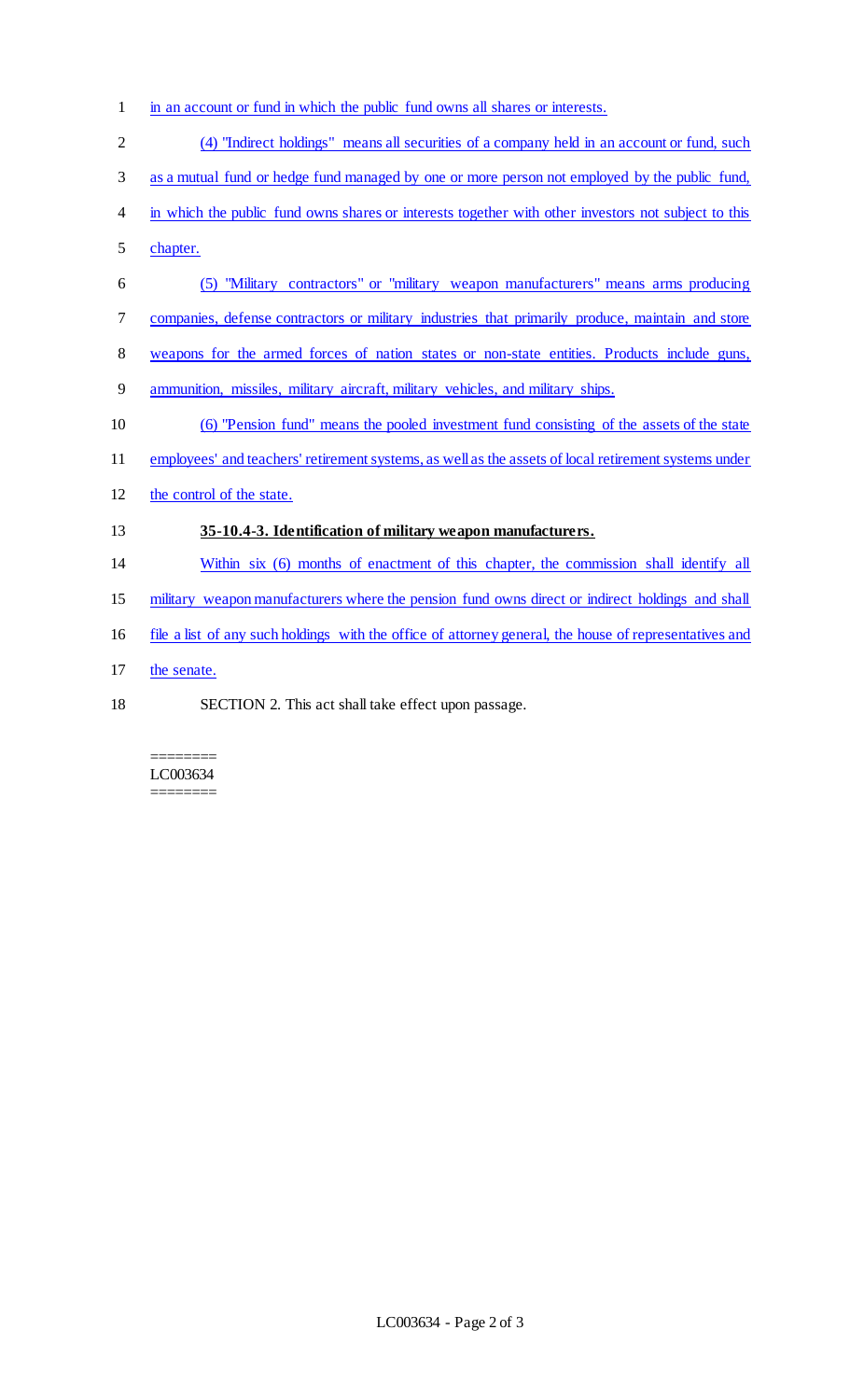- 1 in an account or fund in which the public fund owns all shares or interests.
- 2 (4) "Indirect holdings" means all securities of a company held in an account or fund, such 3 as a mutual fund or hedge fund managed by one or more person not employed by the public fund, in which the public fund owns shares or interests together with other investors not subject to this chapter. (5) "Military contractors" or "military weapon manufacturers" means arms producing companies, defense contractors or military industries that primarily produce, maintain and store weapons for the armed forces of nation states or non-state entities. Products include guns, ammunition, missiles, military aircraft, military vehicles, and military ships. (6) "Pension fund" means the pooled investment fund consisting of the assets of the state employees' and teachers' retirement systems, as well as the assets of local retirement systems under
- the control of the state.

# **35-10.4-3. Identification of military weapon manufacturers.**

- Within six (6) months of enactment of this chapter, the commission shall identify all
- military weapon manufacturers where the pension fund owns direct or indirect holdings and shall
- file a list of any such holdings with the office of attorney general, the house of representatives and
- the senate.
- SECTION 2. This act shall take effect upon passage.

#### ======== LC003634 ========